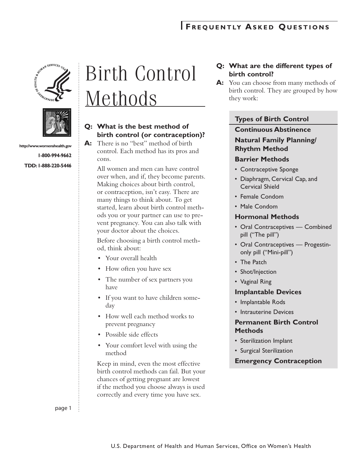



**<http://www.womenshealth.gov> 1-800-994-9662 TDD: 1-888-220-5446**

# Birth Control Methods

# **Q: What is the best method of birth control (or contraception)?**

**A:** There is no "best" method of birth control. Each method has its pros and cons.

> All women and men can have control over when, and if, they become parents. Making choices about birth control, or contraception, isn't easy. There are many things to think about. To get started, learn about birth control methods you or your partner can use to prevent pregnancy. You can also talk with your doctor about the choices.

Before choosing a birth control method, think about:

- Your overall health
- How often you have sex
- The number of sex partners you have
- If you want to have children someday
- How well each method works to prevent pregnancy
- Possible side effects
- Your comfort level with using the method

Keep in mind, even the most effective birth control methods can fail. But your chances of getting pregnant are lowest if the method you choose always is used correctly and every time you have sex.

# **Q: What are the different types of birth control?**

**A:** You can choose from many methods of birth control. They are grouped by how they work:

### **Types of Birth Control**

#### **[Continuous Abstinence](#page-1-0)**

#### **[Natural Family Planning/](#page-1-0) Rhythm Method**

#### **[Barrier Methods](#page-1-0)**

- Contraceptive Sponge
- Diaphragm, Cervical Cap, and Cervical Shield
- [Female Condom](#page-2-0)
- Male Condom

#### **[Hormonal Methods](#page-3-0)**

- Oral Contraceptives Combined pill ("The pill")
- Oral Contraceptives Progestinonly pill ("Mini-pill")
- The Patch
- [Shot/Injection](#page-4-0)
- Vaginal Ring

#### **[Implantable Devices](#page-4-0)**

- Implantable Rods
- Intrauterine Devices

# **[Permanent Birth Control](#page-5-0)  Methods**

- Sterilization Implant
- Surgical Sterilization

#### **[Emergency Contraception](#page-5-0)**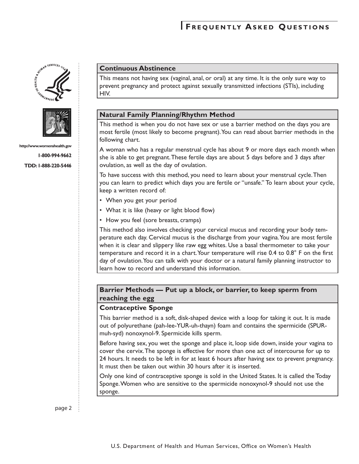<span id="page-1-0"></span>



**http://www.womenshealth.gov**

**1-800-994-9662**

**TDD: 1-888-220-5446**

#### **Continuous Abstinence**

This means not having sex (vaginal, anal, or oral) at any time. It is the only sure way to prevent pregnancy and protect against sexually transmitted infections (STIs), including HIV.

#### **Natural Family Planning/Rhythm Method**

This method is when you do not have sex or use a barrier method on the days you are most fertile (most likely to become pregnant). You can read about barrier methods in the following chart.

A woman who has a regular menstrual cycle has about 9 or more days each month when she is able to get pregnant. These fertile days are about 5 days before and 3 days after ovulation, as well as the day of ovulation.

To have success with this method, you need to learn about your menstrual cycle. Then you can learn to predict which days you are fertile or "unsafe." To learn about your cycle, keep a written record of:

- When you get your period
- What it is like (heavy or light blood flow)
- How you feel (sore breasts, cramps)

This method also involves checking your cervical mucus and recording your body temperature each day. Cervical mucus is the discharge from your vagina. You are most fertile when it is clear and slippery like raw egg whites. Use a basal thermometer to take your temperature and record it in a chart. Your temperature will rise  $0.4$  to  $0.8^\circ$  F on the first day of ovulation. You can talk with your doctor or a natural family planning instructor to learn how to record and understand this information.

# **Barrier Methods — Put up a block, or barrier, to keep sperm from reaching the egg**

#### **Contraceptive Sponge**

This barrier method is a soft, disk-shaped device with a loop for taking it out. It is made out of polyurethane (pah-lee-YUR-uh-thayn) foam and contains the spermicide (SPURmuh-syd) nonoxynol-9. Spermicide kills sperm.

Before having sex, you wet the sponge and place it, loop side down, inside your vagina to cover the cervix. The sponge is effective for more than one act of intercourse for up to 24 hours. It needs to be left in for at least 6 hours after having sex to prevent pregnancy. It must then be taken out within 30 hours after it is inserted.

Only one kind of contraceptive sponge is sold in the United States. It is called the Today Sponge. Women who are sensitive to the spermicide nonoxynol-9 should not use the sponge.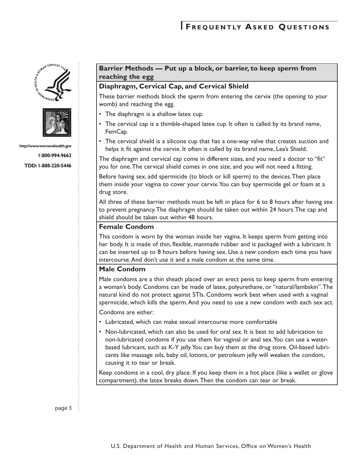<span id="page-2-0"></span>



**http://www.womenshealth.gov**

**1-800-994-9662**

**TDD: 1-888-220-5446**

### **Barrier Methods — Put up a block, or barrier, to keep sperm from reaching the egg**

## **Diaphragm, Cervical Cap, and Cervical Shield**

These barrier methods block the sperm from entering the cervix (the opening to your womb) and reaching the egg.

- The diaphragm is a shallow latex cup.
- The cervical cap is a thimble-shaped latex cup. It often is called by its brand name, FemCap.
- The cervical shield is a silicone cup that has a one-way valve that creates suction and helps it fit against the cervix. It often is called by its brand name, Lea's Shield.

The diaphragm and cervical cap come in different sizes, and you need a doctor to "fit" you for one. The cervical shield comes in one size, and you will not need a fitting.

Before having sex, add spermicide (to block or kill sperm) to the devices. Then place them inside your vagina to cover your cervix. You can buy spermicide gel or foam at a drug store.

All three of these barrier methods must be left in place for  $6$  to  $8$  hours after having sex to prevent pregnancy. The diaphragm should be taken out within 24 hours. The cap and shield should be taken out within 48 hours.

### **Female Condom**

This condom is worn by the woman inside her vagina. It keeps sperm from getting into her body. It is made of thin, flexible, manmade rubber and is packaged with a lubricant. It can be inserted up to 8 hours before having sex. Use a new condom each time you have intercourse. And don't use it and a male condom at the same time.

#### **Male Condom**

Male condoms are a thin sheath placed over an erect penis to keep sperm from entering a woman's body. Condoms can be made of latex, polyurethane, or "natural/lambskin". The natural kind do not protect against STIs. Condoms work best when used with a vaginal spermicide, which kills the sperm. And you need to use a new condom with each sex act. Condoms are either:

- Lubricated, which can make sexual intercourse more comfortable
- Non-lubricated, which can also be used for oral sex. It is best to add lubrication to non-lubricated condoms if you use them for vaginal or anal sex. You can use a waterbased lubricant, such as K-Y jelly. You can buy them at the drug store. Oil-based lubricants like massage oils, baby oil, lotions, or petroleum jelly will weaken the condom, causing it to tear or break.

Keep condoms in a cool, dry place. If you keep them in a hot place (like a wallet or glove compartment), the latex breaks down. Then the condom can tear or break.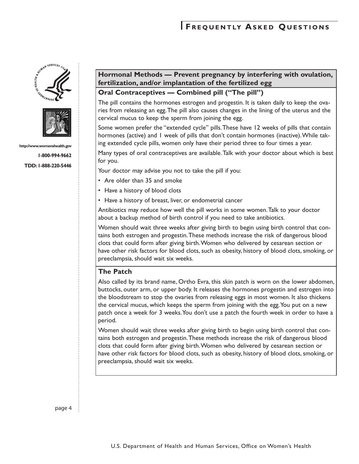<span id="page-3-0"></span>



**http://www.womenshealth.gov 1-800-994-9662 TDD: 1-888-220-5446**

# **Hormonal Methods — Prevent pregnancy by interfering with ovulation, fertilization, and/or implantation of the fertilized egg**

#### **Oral Contraceptives — Combined pill ("The pill")**

The pill contains the hormones estrogen and progestin. It is taken daily to keep the ovaries from releasing an egg. The pill also causes changes in the lining of the uterus and the cervical mucus to keep the sperm from joining the egg.

Some women prefer the "extended cycle" pills. These have 12 weeks of pills that contain hormones (active) and I week of pills that don't contain hormones (inactive). While taking extended cycle pills, women only have their period three to four times a year.

Many types of oral contraceptives are available. Talk with your doctor about which is best for you.

Your doctor may advise you not to take the pill if you:

- Are older than 35 and smoke
- Have a history of blood clots
- Have a history of breast, liver, or endometrial cancer

Antibiotics may reduce how well the pill works in some women. Talk to your doctor about a backup method of birth control if you need to take antibiotics.

Women should wait three weeks after giving birth to begin using birth control that contains both estrogen and progestin. These methods increase the risk of dangerous blood clots that could form after giving birth. Women who delivered by cesarean section or have other risk factors for blood clots, such as obesity, history of blood clots, smoking, or preeclampsia, should wait six weeks.

#### **The Patch**

Also called by its brand name, Ortho Evra, this skin patch is worn on the lower abdomen, buttocks, outer arm, or upper body. It releases the hormones progestin and estrogen into the bloodstream to stop the ovaries from releasing eggs in most women. It also thickens the cervical mucus, which keeps the sperm from joining with the egg. You put on a new patch once a week for 3 weeks. You don't use a patch the fourth week in order to have a period.

Women should wait three weeks after giving birth to begin using birth control that contains both estrogen and progestin. These methods increase the risk of dangerous blood clots that could form after giving birth. Women who delivered by cesarean section or have other risk factors for blood clots, such as obesity, history of blood clots, smoking, or preeclampsia, should wait six weeks.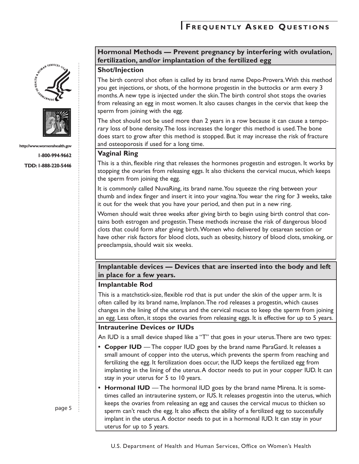<span id="page-4-0"></span>



**http://www.womenshealth.gov 1-800-994-9662**

**TDD: 1-888-220-5446**

# **Hormonal Methods — Prevent pregnancy by interfering with ovulation, fertilization, and/or implantation of the fertilized egg**

# **Shot/Injection**

The birth control shot often is called by its brand name Depo-Provera. With this method you get injections, or shots, of the hormone progestin in the buttocks or arm every 3 months. A new type is injected under the skin. The birth control shot stops the ovaries from releasing an egg in most women. It also causes changes in the cervix that keep the sperm from joining with the egg.

The shot should not be used more than 2 years in a row because it can cause a temporary loss of bone density. The loss increases the longer this method is used. The bone does start to grow after this method is stopped. But it may increase the risk of fracture and osteoporosis if used for a long time.

# **Vaginal Ring**

This is a thin, flexible ring that releases the hormones progestin and estrogen. It works by stopping the ovaries from releasing eggs. It also thickens the cervical mucus, which keeps the sperm from joining the egg.

It is commonly called NuvaRing, its brand name. You squeeze the ring between your thumb and index finger and insert it into your vagina. You wear the ring for 3 weeks, take it out for the week that you have your period, and then put in a new ring.

Women should wait three weeks after giving birth to begin using birth control that contains both estrogen and progestin. These methods increase the risk of dangerous blood clots that could form after giving birth. Women who delivered by cesarean section or have other risk factors for blood clots, such as obesity, history of blood clots, smoking, or preeclampsia, should wait six weeks.

# **Implantable devices — Devices that are inserted into the body and left in place for a few years.**

# **Implantable Rod**

This is a matchstick-size, flexible rod that is put under the skin of the upper arm. It is often called by its brand name, Implanon. The rod releases a progestin, which causes changes in the lining of the uterus and the cervical mucus to keep the sperm from joining an egg. Less often, it stops the ovaries from releasing eggs. It is effective for up to 5 years.

# **Intrauterine Devices or IUDs**

An IUD is a small device shaped like a "T" that goes in your uterus. There are two types:

- **Copper IUD** The copper IUD goes by the brand name ParaGard. It releases a small amount of copper into the uterus, which prevents the sperm from reaching and fertilizing the egg. It fertilization does occur, the IUD keeps the fertilized egg from implanting in the lining of the uterus. A doctor needs to put in your copper IUD. It can stay in your uterus for 5 to 10 years.
- **Hormonal IUD** The hormonal IUD goes by the brand name Mirena. It is sometimes called an intrauterine system, or IUS. It releases progestin into the uterus, which keeps the ovaries from releasing an egg and causes the cervical mucus to thicken so sperm can't reach the egg. It also affects the ability of a fertilized egg to successfully implant in the uterus. A doctor needs to put in a hormonal IUD. It can stay in your uterus for up to 5 years.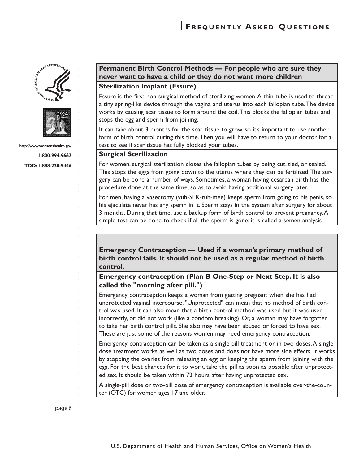<span id="page-5-0"></span>



**http://www.womenshealth.gov 1-800-994-9662 TDD: 1-888-220-5446**

# **Permanent Birth Control Methods — For people who are sure they never want to have a child or they do not want more children**

# **Sterilization Implant (Essure)**

Essure is the first non-surgical method of sterilizing women. A thin tube is used to thread a tiny spring-like device through the vagina and uterus into each fallopian tube. The device works by causing scar tissue to form around the coil. This blocks the fallopian tubes and stops the egg and sperm from joining.

It can take about 3 months for the scar tissue to grow, so it's important to use another form of birth control during this time. Then you will have to return to your doctor for a test to see if scar tissue has fully blocked your tubes.

### **Surgical Sterilization**

For women, surgical sterilization closes the fallopian tubes by being cut, tied, or sealed. This stops the eggs from going down to the uterus where they can be fertilized. The surgery can be done a number of ways. Sometimes, a woman having cesarean birth has the procedure done at the same time, so as to avoid having additional surgery later.

For men, having a vasectomy (vuh-SEK-tuh-mee) keeps sperm from going to his penis, so his ejaculate never has any sperm in it. Sperm stays in the system after surgery for about 3 months. During that time, use a backup form of birth control to prevent pregnancy. A simple test can be done to check if all the sperm is gone; it is called a semen analysis.

**Emergency Contraception — Used if a woman's primary method of birth control fails. It should not be used as a regular method of birth control.**

# **Emergency contraception (Plan B One-Step or Next Step. It is also called the "morning after pill.")**

Emergency contraception keeps a woman from getting pregnant when she has had unprotected vaginal intercourse. "Unprotected" can mean that no method of birth control was used. It can also mean that a birth control method was used but it was used incorrectly, or did not work (like a condom breaking). Or, a woman may have forgotten to take her birth control pills. She also may have been abused or forced to have sex. These are just some of the reasons women may need emergency contraception.

Emergency contraception can be taken as a single pill treatment or in two doses. A single dose treatment works as well as two doses and does not have more side effects. It works by stopping the ovaries from releasing an egg or keeping the sperm from joining with the egg. For the best chances for it to work, take the pill as soon as possible after unprotected sex. It should be taken within 72 hours after having unprotected sex.

A single-pill dose or two-pill dose of emergency contraception is available over-the-counter (OTC) for women ages 17 and older.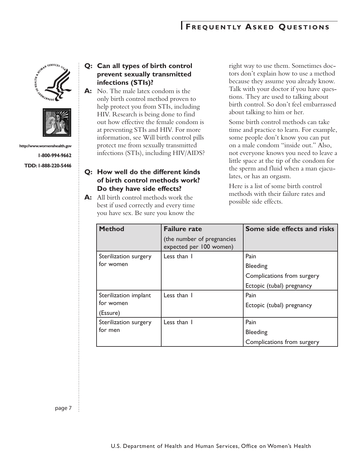



**http://www.womenshealth.gov 1-800-994-9662 TDD: 1-888-220-5446**

# **Q: Can all types of birth control prevent sexually transmitted infections (STIs)?**

A: No. The male latex condom is the only birth control method proven to help protect you from STIs, including HIV. Research is being done to find out how effective the female condom is at preventing STIs and HIV. For more information, see Will birth control pills protect me from sexually transmitted infections *(STIs)*, including HIV/AIDS?

# **Q: How well do the different kinds of birth control methods work? Do they have side effects?**

**A:** All birth control methods work the best if used correctly and every time you have sex. Be sure you know the

right way to use them. Sometimes doctors don't explain how to use a method because they assume you already know. Talk with your doctor if you have questions. They are used to talking about birth control. So don't feel embarrassed about talking to him or her.

Some birth control methods can take time and practice to learn. For example, some people don't know you can put on a male condom "inside out." Also, not everyone knows you need to leave a little space at the tip of the condom for the sperm and fluid when a man ejaculates, or has an orgasm.

Here is a list of some birth control methods with their failure rates and possible side effects.

| <b>Method</b>         | <b>Failure rate</b>                                   | Some side effects and risks |
|-----------------------|-------------------------------------------------------|-----------------------------|
|                       | (the number of pregnancies<br>expected per 100 women) |                             |
| Sterilization surgery | Less than I                                           | Pain                        |
| for women             |                                                       | <b>Bleeding</b>             |
|                       |                                                       | Complications from surgery  |
|                       |                                                       | Ectopic (tubal) pregnancy   |
| Sterilization implant | Less than I                                           | Pain                        |
| for women             |                                                       | Ectopic (tubal) pregnancy   |
| (Essure)              |                                                       |                             |
| Sterilization surgery | Less than I                                           | Pain                        |
| for men               |                                                       | <b>Bleeding</b>             |
|                       |                                                       | Complications from surgery  |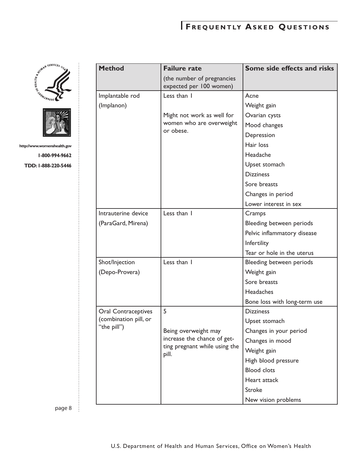



**http://www.womenshealth.gov**

**1-800-994-9662**

**TDD: 1-888-220-5446**

| <b>Method</b>                        | <b>Failure rate</b>                                                 | Some side effects and risks  |
|--------------------------------------|---------------------------------------------------------------------|------------------------------|
|                                      | (the number of pregnancies<br>expected per 100 women)               |                              |
| Implantable rod                      | Less than I                                                         | Acne                         |
| (Implanon)                           |                                                                     | Weight gain                  |
|                                      | Might not work as well for<br>women who are overweight<br>or obese. | Ovarian cysts                |
|                                      |                                                                     | Mood changes                 |
|                                      |                                                                     | Depression                   |
|                                      |                                                                     | Hair loss                    |
|                                      |                                                                     | Headache                     |
|                                      |                                                                     | Upset stomach                |
|                                      |                                                                     | <b>Dizziness</b>             |
|                                      |                                                                     | Sore breasts                 |
|                                      |                                                                     | Changes in period            |
|                                      |                                                                     | Lower interest in sex        |
| Intrauterine device                  | Less than I                                                         | Cramps                       |
| (ParaGard, Mirena)                   |                                                                     | Bleeding between periods     |
|                                      |                                                                     | Pelvic inflammatory disease  |
|                                      |                                                                     | Infertility                  |
|                                      |                                                                     | Tear or hole in the uterus   |
| Shot/Injection                       | Less than I                                                         | Bleeding between periods     |
| (Depo-Provera)                       |                                                                     | Weight gain                  |
|                                      |                                                                     | Sore breasts                 |
|                                      |                                                                     | Headaches                    |
|                                      |                                                                     | Bone loss with long-term use |
| <b>Oral Contraceptives</b>           | 5                                                                   | <b>Dizziness</b>             |
| (combination pill, or<br>"the pill") |                                                                     | Upset stomach                |
|                                      | Being overweight may                                                | Changes in your period       |
|                                      | increase the chance of get-                                         | Changes in mood              |
|                                      | ting pregnant while using the<br>pill.                              | Weight gain                  |
|                                      |                                                                     | High blood pressure          |
|                                      |                                                                     | <b>Blood clots</b>           |
|                                      |                                                                     | Heart attack                 |
|                                      |                                                                     | Stroke                       |
|                                      |                                                                     | New vision problems          |

page  $8 \frac{1}{2}$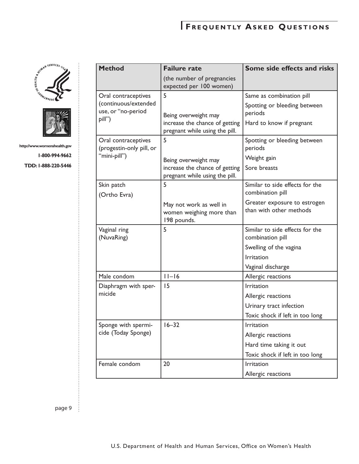



**http://www.womenshealth.gov**

**1-800-994-9662**

**TDD: 1-888-220-5446**

| <b>Method</b>                                                               | <b>Failure rate</b>                                                | Some side effects and risks                             |
|-----------------------------------------------------------------------------|--------------------------------------------------------------------|---------------------------------------------------------|
|                                                                             | (the number of pregnancies<br>expected per 100 women)              |                                                         |
| Oral contraceptives<br>(continuous/extended<br>use, or "no-period<br>pill") | 5                                                                  | Same as combination pill                                |
|                                                                             | Being overweight may                                               | Spotting or bleeding between<br>periods                 |
|                                                                             | increase the chance of getting<br>pregnant while using the pill.   | Hard to know if pregnant                                |
| Oral contraceptives<br>(progestin-only pill, or                             | 5                                                                  | Spotting or bleeding between<br>periods                 |
| "mini-pill")                                                                | Being overweight may                                               | Weight gain                                             |
|                                                                             | increase the chance of getting<br>pregnant while using the pill.   | Sore breasts                                            |
| Skin patch<br>(Ortho Evra)                                                  | 5                                                                  | Similar to side effects for the<br>combination pill     |
|                                                                             | May not work as well in<br>women weighing more than<br>198 pounds. | Greater exposure to estrogen<br>than with other methods |
| Vaginal ring<br>(NuvaRing)                                                  | 5                                                                  | Similar to side effects for the<br>combination pill     |
|                                                                             |                                                                    | Swelling of the vagina                                  |
|                                                                             |                                                                    | <b>Irritation</b>                                       |
|                                                                             |                                                                    | Vaginal discharge                                       |
| Male condom                                                                 | $11-16$                                                            | Allergic reactions                                      |
| Diaphragm with sper-                                                        | 15                                                                 | <b>Irritation</b>                                       |
| micide                                                                      |                                                                    | Allergic reactions                                      |
|                                                                             |                                                                    | Urinary tract infection                                 |
|                                                                             |                                                                    | Toxic shock if left in too long                         |
| Sponge with spermi-                                                         | $16 - 32$                                                          | Irritation                                              |
| cide (Today Sponge)                                                         |                                                                    | Allergic reactions                                      |
|                                                                             |                                                                    | Hard time taking it out                                 |
|                                                                             |                                                                    | Toxic shock if left in too long                         |
| Female condom                                                               | 20                                                                 | Irritation                                              |
|                                                                             |                                                                    | Allergic reactions                                      |

page  $9 \frac{1}{2}$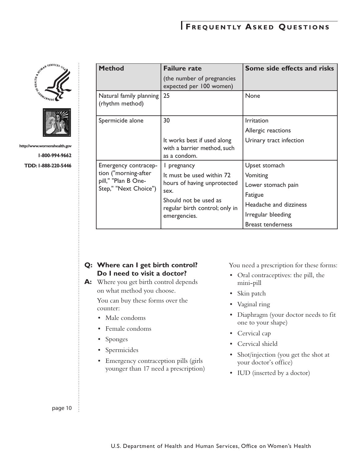



**http://www.womenshealth.gov**

**1-800-994-9662**

**TDD: 1-888-220-5446**

| <b>Method</b>                                | <b>Failure rate</b>                                                                                                                         | Some side effects and risks |
|----------------------------------------------|---------------------------------------------------------------------------------------------------------------------------------------------|-----------------------------|
|                                              | (the number of pregnancies<br>expected per 100 women)                                                                                       |                             |
| Natural family planning<br>(rhythm method)   | 25                                                                                                                                          | None                        |
| Spermicide alone                             | 30                                                                                                                                          | <b>Irritation</b>           |
|                                              |                                                                                                                                             | Allergic reactions          |
|                                              | It works best if used along                                                                                                                 | Urinary tract infection     |
|                                              | with a barrier method, such<br>as a condom.                                                                                                 |                             |
| Emergency contracep-                         | I pregnancy                                                                                                                                 | Upset stomach               |
| tion ("morning-after                         | It must be used within 72<br>hours of having unprotected<br>sex.<br>Should not be used as<br>regular birth control; only in<br>emergencies. | Vomiting                    |
| pill," "Plan B One-<br>Step," "Next Choice") |                                                                                                                                             | Lower stomach pain          |
|                                              |                                                                                                                                             | Fatigue                     |
|                                              |                                                                                                                                             | Headache and dizziness      |
|                                              |                                                                                                                                             | Irregular bleeding          |
|                                              |                                                                                                                                             | <b>Breast tenderness</b>    |

# **Q: Where can I get birth control? Do I need to visit a doctor?**

**A:** Where you get birth control depends on what method you choose.

> You can buy these forms over the counter:

- Male condoms
- Female condoms
- • Sponges
- • Spermicides
- Emergency contraception pills (girls younger than 17 need a prescription)

You need a prescription for these forms:

- Oral contraceptives: the pill, the mini-pill
- Skin patch
- Vaginal ring
- Diaphragm (your doctor needs to fit one to your shape)
- Cervical cap
- Cervical shield
- Shot/injection (you get the shot at your doctor's office)
- IUD (inserted by a doctor)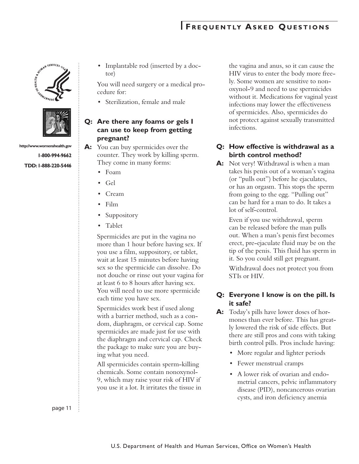



**http://www.womenshealth.gov 1-800-994-9662 TDD: 1-888-220-5446**

• Implantable rod (inserted by a doctor) 

You will need surgery or a medical procedure for:

• Sterilization, female and male

# **Q: Are there any foams or gels I can use to keep from getting pregnant?**

- **A:** You can buy spermicides over the counter. They work by killing sperm. They come in many forms:
	- • Foam
	- $\bullet$  Gel
	- • Cream
	- • Film
	- Suppository
	- • Tablet

Spermicides are put in the vagina no more than 1 hour before having sex. If you use a film, suppository, or tablet, wait at least 15 minutes before having sex so the spermicide can dissolve. Do not douche or rinse out your vagina for at least 6 to 8 hours after having sex. You will need to use more spermicide each time you have sex.

Spermicides work best if used along with a barrier method, such as a condom, diaphragm, or cervical cap. Some spermicides are made just for use with the diaphragm and cervical cap. Check the package to make sure you are buying what you need.

All spermicides contain sperm-killing chemicals. Some contain nonoxynol-9, which may raise your risk of HIV if you use it a lot. It irritates the tissue in the vagina and anus, so it can cause the HIV virus to enter the body more freely. Some women are sensitive to nonoxynol-9 and need to use spermicides without it. Medications for vaginal yeast infections may lower the effectiveness of spermicides. Also, spermicides do not protect against sexually transmitted infections.

# **Q: How effective is withdrawal as a birth control method?**

**A:** Not very! Withdrawal is when a man takes his penis out of a woman's vagina (or "pulls out") before he ejaculates, or has an orgasm. This stops the sperm from going to the egg. "Pulling out" can be hard for a man to do. It takes a lot of self-control.

> Even if you use withdrawal, sperm can be released before the man pulls out. When a man's penis first becomes erect, pre-ejaculate fluid may be on the tip of the penis. This fluid has sperm in it. So you could still get pregnant.

Withdrawal does not protect you from STIs or HIV.

# **Q: Everyone I know is on the pill. Is it safe?**

- **A:** Today's pills have lower doses of hormones than ever before. This has greatly lowered the risk of side effects. But there are still pros and cons with taking birth control pills. Pros include having:
	- More regular and lighter periods
	- Fewer menstrual cramps
	- A lower risk of ovarian and endometrial cancers, pelvic inflammatory disease (PID), noncancerous ovarian cysts, and iron deficiency anemia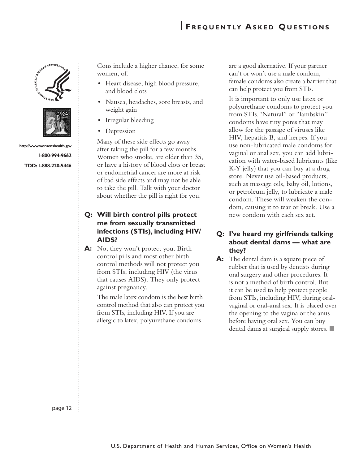



**http://www.womenshealth.gov 1-800-994-9662 TDD: 1-888-220-5446** Cons include a higher chance, for some women, of:

- Heart disease, high blood pressure, and blood clots
- Nausea, headaches, sore breasts, and weight gain
- Irregular bleeding
- Depression

Many of these side effects go away after taking the pill for a few months. Women who smoke, are older than 35, or have a history of blood clots or breast or endometrial cancer are more at risk of bad side effects and may not be able to take the pill. Talk with your doctor about whether the pill is right for you.

# **Q: Will birth control pills protect me from sexually transmitted infections (STIs), including HIV/ AIDS?**

**A:** No, they won't protect you. Birth control pills and most other birth control methods will not protect you from STIs, including HIV (the virus that causes AIDS). They only protect against pregnancy.

> The male latex condom is the best birth control method that also can protect you from STIs, including HIV. If you are allergic to latex, polyurethane condoms

are a good alternative. If your partner can't or won't use a male condom, female condoms also create a barrier that can help protect you from STIs.

It is important to only use latex or polyurethane condoms to protect you from STIs. "Natural" or "lambskin" condoms have tiny pores that may allow for the passage of viruses like HIV, hepatitis B, and herpes. If you use non-lubricated male condoms for vaginal or anal sex, you can add lubrication with water-based lubricants (like K-Y jelly) that you can buy at a drug store. Never use oil-based products, such as massage oils, baby oil, lotions, or petroleum jelly, to lubricate a male condom. These will weaken the condom, causing it to tear or break. Use a new condom with each sex act.

# **Q: I've heard my girlfriends talking about dental dams — what are they?**

**A:** The dental dam is a square piece of rubber that is used by dentists during oral surgery and other procedures. It is not a method of birth control. But it can be used to help protect people from STIs, including HIV, during oralvaginal or oral-anal sex. It is placed over the opening to the vagina or the anus before having oral sex. You can buy dental dams at surgical supply stores.  $\blacksquare$